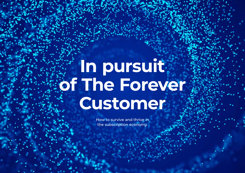# **In pursuit of The Forever Customer**

How to survive and thrive in the subscription economy.

In pursuit of the Forever Customer 1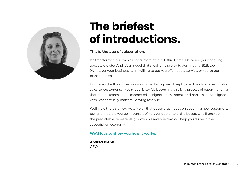

# **The briefest of introductions.**

#### **This is the age of subscription.**

It's transformed our lives as consumers (think Netflix, Prime, Deliveroo, your banking app, etc etc etc). And it's a model that's well on the way to dominating B2B, too. (Whatever your business is, I'm willing to bet you offer it as-a-service, or you've got plans to do so.)

But here's the thing. The way we do marketing hasn't kept pace. The old marketing-tosales-to-customer service model is swiftly becoming a relic, a process of baton-handing that means teams are disconnected, budgets are misspent, and metrics aren't aligned with what actually matters - driving revenue.

Well, now there's a new way. A way that doesn't just focus on acquiring new customers, but one that lets you go in pursuit of Forever Customers, the buyers who'll provide the predictable, repeatable growth and revenue that will help you thrive in the subscription economy.

#### **We'd love to show you how it works.**

**Andrea Glenn** CEO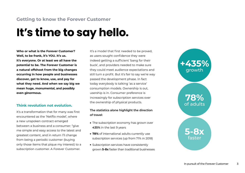## **Getting to know the Forever Customer**

# **It's time to say hello.**

**Who or what is the Forever Customer? Well, to be frank, it's YOU. It's us. It's everyone. Or at least we all have the potential to be. The Forever Customer is a natural offshoot from the big changes occurring in how people and businesses discover, get to know, use, and pay for what they need. And when we say big we mean huge, monumental, and possibly even ginormous.**

#### **Think revolution not evolution.**

It's a transformation that for many was first encountered as the 'Netflix model', where a new unspoken contract emerged between a business and a consumer: "give me simple and easy access to the latest and greatest content, and in return I'll change from being a periodic customer (buying only those items that pique my interest) to a subscription customer. A Forever Customer.

It's a model that first needed to be proved, as users sought confidence they were indeed getting a sufficient 'bang for their buck', and providers needed to make sure they could meet audience expectations and still turn a profit. But it's fair to say we're way passed the development phase. In fact today everybody is talking 'as a service' consumption models. Ownership is out, usership is in. Consumer preference is increasingly for subscription services over the ownership of physical products.

#### **The statistics alone highlight the direction of travel:**

- The subscription economy has grown over **435%** in the last 9 years
- 78% of international adults currently use subscription services (up from 71% in 2018)
- Subscription services have consistently grown **5-8x** faster than traditional businesses

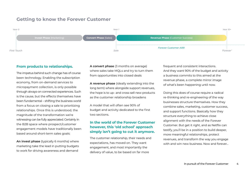# **Getting to know the Forever Customer**



#### **From products to relationships.**

The impetus behind such change has of course been technology. Enabling the subscription economy, from on-demand services to micropayment collection, is only possible through always-on connected experiences. Such is the cause, but the effects themselves have been fundamental – shifting the business world from a focus on closing a sale to prioritizing relationships. Once this is understood, the magnitude of the transformation we're witnessing can be fully appreciated. Certainly in the B2B space where prospect/customer engagement models have traditionally been based around short-term sales goals:

**An invest phase** (typically 6 months) where marketing take the lead in putting budgets to work for driving awareness and demand

**A convert phase** (3 months on average) where sales take MQLs and try to turn them from opportunities into closed deals

**A revenue phase** (ideally extending into the long term) where alongside support revenues, the hope is to up- and cross-sell new products as the customer relationship broadens

A model that will often see 90% of budget and activity dedicated to the first two sections.

#### **In the world of the Forever Customer however, this 'old school' approach simply isn't going to cut it anymore.**

The customer relationship, their needs and expectations, has moved on. They want engagement, and most importantly the delivery of value, to be based on far more

frequent and consistent interactions. And they want 90% of the budget and activity a business commits to this aimed at the revenue phase, a complete mirror image of what's been happening until now.

Doing this does of course require a radical re-thinking and re-engineering of the way businesses structure themselves. How they combine sales, marketing, customer success, and support functions. Basically how they structure everything to achieve close alignment with the needs of the Forever Customer. But get it right, and as Netflix can testify, you'll be in a position to build deeper, more meaningful relationships, protect revenues, and transform the way you engage with and win new business. Now and forever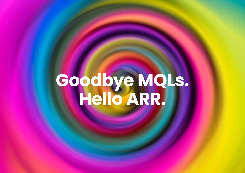# **Goodbye MQLs. Hello ARR.**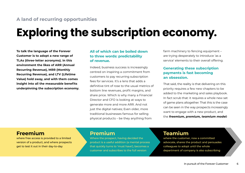# **A land of recurring opportunities**

# **Exploring the subscription economy.**

**To talk the language of the Forever Customer is to adopt a new range of TLAs (three-letter acronyms). In this environment the likes of ARR (Annual Recurring Revenue), MRR (Monthly Recurring Revenue), and LTV (Lifetime Value) hold sway, and with them comes insight into all the measurable benefits underpinning the subscription economy.**

#### **All of which can be boiled down to three words: predictability of revenue.**

Indeed, business success is increasingly centred on inspiring a commitment from customers to pay recurring subscription fees for services. It's a lens that adds a definitive tint of rose to the usual metrics of bottom line revenues, profit margins, and share price. Which is why many a Financial Director and CFO is looking at ways to generate more and more ARR. And not just the digital natives; Even older, more traditional businesses famous for selling physical products – be they anything from

farm machinery to fencing equipment – are trying desperately to introduce 'as a service' elements to their overall offering.

#### **Generating these subscription payments is fast becoming an obsession.**

That said, the reality is that delivering on this priority requires a few new chapters to be added to the marketing and sales playbook. In fact scrub that: it requires a whole new set of game plans altogether. That this is the case can be seen in the way prospects increasingly want to engage with a new product, and the *freemium, premium, teamium model:*

# **Freemium**

where free access is provided to a limited version of a product, and where prospects get to test it out in their day-to-day

# **Premium**

Where the prospect, having decided the product is a useful addition (a mental process that quickly turns to 'must have'), becomes a customer and subscribes to the full version

# **Teamium**

where the customer, now a committed advocate, shares the product and persuades colleagues to adopt until the whole department of company is also subscribing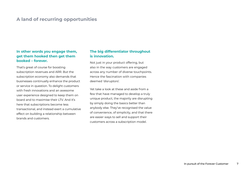## **A land of recurring opportunities**

#### **In other words you engage them, get them hooked then get them booked – forever.**

That's great of course for boosting subscription revenues and ARR. But the subscription economy also demands that businesses continually enhance the product or service in question. To delight customers with fresh innovations and an awesome user experience designed to keep them on board and to maximise their LTV. And it's here that subscriptions become less transactional, and instead exert a cumulative effect on building a relationship between brands and customers.

#### **The big differentiator throughout is innovation.**

Not just in your product offering, but also in the way customers are engaged across any number of diverse touchpoints. Hence the fascination with companies deemed 'disruptors'.

Yet take a look at these and aside from a few that have managed to develop a truly unique product, the majority are disrupting by simply doing the basics better than anybody else. They've recognised the value of convenience, of simplicity, and that there are easier ways to sell and support their customers across a subscription model.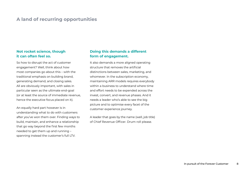## **A land of recurring opportunities**

#### **Not rocket science, though it can often feel so.**

So how to disrupt the act of customer engagement? Well, think about how most companies go about this – with the traditional emphasis on building brand, generating demand, and closing sales. All are obviously important, with sales in particular seen as the ultimate end-goal (or at least the source of immediate revenue, hence the executive focus placed on it).

An equally hard part however is in understanding what to do with customers after you've won them over. Finding ways to build, maintain, and enhance a relationship that go way beyond the first few months needed to get them up and running – spanning instead the customer's full LTV.

#### **Doing this demands a different form of engagement.**

It also demands a more aligned operating structure that removes the artificial distinctions between sales, marketing, and whomever. In the subscription economy, maintaining ARR models requires everybody within a business to understand where time and effort needs to be expended across the invest, convert, and revenue phases. And it needs a leader who's able to see the big picture and to optimise every facet of the customer experience journey.

A leader that goes by the name (well, job title) of Chief Revenue Officer. Drum roll please.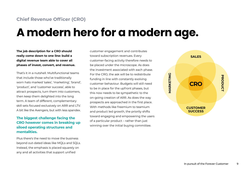# **A modern hero for a modern age.**

**The job description for a CRO should really come down to one line: build a digital revenue team able to cover all phases of invest, convert, and revenue.** 

That's it in a nutshell. Multifunctional teams that include those who've traditionally worn hats marked 'sales', 'marketing', 'brand', 'product', and 'customer success', able to attract prospects, turn them into customers, then keep them delighted into the long term. A team of different, complementary skill sets focused exclusively on ARR and LTV. A bit like the Avengers, but with less spandex.

#### **The biggest challenge facing the CRO however comes in breaking up siloed operating structures and mentalities.**

Plus there's the need to move the business beyond out-dated ideas like MQLs and SQLs. Instead, the emphasis is placed squarely on any and all activities that support unified

customer engagement and contributes toward subscription revenues. Every customer-facing activity therefore needs to be placed under the microscope. As does the investment associated with each phase. For the CRO, the ask will be to redistribute funding in line with constantly evolving customer behaviour. Budgets will still need to be in place for the upfront phases, but this now needs to be sympathetic to the on-going creation of ARR. As does the way prospects are approached in the first place. With methods like freemium to teamium and product led growth, the priority shifts toward engaging and empowering the users of a particular product – rather than just winning over the initial buying committee.

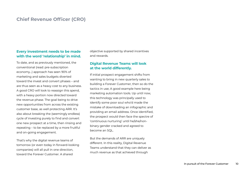### **Chief Revenue Officer (CRO)**

#### **Every investment needs to be made with the word 'relationship' in mind.**

To date, and as previously mentioned, the conventional (read: pre-subscription economy…) approach has seen 90% of marketing and sales budgets diverted toward the invest and convert phases – and are thus seen as a heavy cost to any business. A good CRO will look to reassign this spend, with a heavy portion now directed toward the revenue phase. The goal being to drive new opportunities from across the existing customer base, as well protecting ARR. It's also about breaking the (seemingly endless) cycle of investing purely to find and convert one new prospect at a time, then rinsing and repeating – to be replaced by a more fruitful and on-going engagement.

That's why the digital revenue teams of tomorrow (or even today in forward-looking companies) will all pull in one direction, toward the Forever Customer. A shared

objective supported by shared incentives and rewards.

#### **Digital Revenue Teams will look at the world differently.**

If initial prospect engagement shifts from wanting to bring in new quarterly sales to building a Forever Customer, then so do the tactics in use; A good example here being marketing automation tools. Up until now, this technology was principally used to identify some poor soul who'd made the mistake of downloading an infographic and providing an email address. Once identified, the prospect would then face the spectre of 'continuous nurturing' until he/she/nonbinary gender cracked and agreed to become an SQL.

But the demands of ARR are uniquely different. In this reality, Digital Revenue Teams understand that they can deliver as much revenue as that achieved through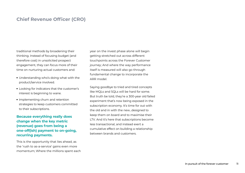# **Chief Revenue Officer (CRO)**

traditional methods by broadening their thinking. Instead of focusing budget (and therefore cost) in unsolicited prospect engagement, they can focus more of their time on nurturing actual customers and:

- Understanding who's doing what with the product/service involved.
- Looking for indicators that the customer's interest is beginning to wane.
- Implementing churn and retention strategies to keep customers committed to their subscriptions.

#### **Because everything really does change when the key metric (revenue) goes from being a one-off(ish) payment to on-going, recurring payments.**

This is the opportunity that lies ahead, as the 'rush to as-a-service' gains even more momentum; Where the millions spent each

year on the invest phase alone will begin getting stretched out across different touchpoints across the Forever Customer journey; And where the way performance itself is measured will also go through fundamental change to incorporate the ARR model.

Saying goodbye to tried and tired concepts like MQLs and SQLs will be hard for some. But truth be told, they're a 300-year old failed experiment that's now being exposed in the subscription economy. It's time for out with the old and in with the new…designed to keep them on board and to maximise their LTV. And it's here that subscriptions become less transactional, and instead exert a cumulative effect on building a relationship between brands and customers.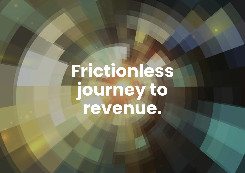# **Frictionless journey to revenue.**

In pursuit of the Forever Customer 12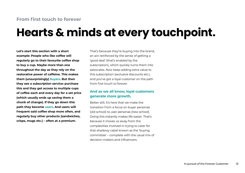## **From first touch to forever**

# **Hearts & minds at every touchpoint.**

**Let's start this section with a short example: People who like coffee will regularly go to their favourite coffee shop to buy a cup. Maybe more than one throughout the day as they rely on the restorative power of caffeine. This makes them (unsurprisingly) buyers. But then they see a subscription service: purchase this and they get access to multiple cups of coffee each and every day for a set price (which usually ends up saving them a chunk of change). If they go down this path they become users. And users will frequent said coffee shop more often, and regularly buy other products (sandwiches, crisps, mugs etc.) – often at a premium.**

That's because they're buying into the brand, an act reinforced by the sense of getting a 'good deal' (that's enabled by the subscription), which quickly turns them into advocates. Now keep adding extra value to this subscription (exclusive discounts etc.), and you've got a loyal customer on the path from first touch to forever.

#### **And as we all know, loyal customers generate more growth.**

Better still, it's here that we make the transition from a focus on buyer personas (old school) to user personas (new school). Doing this instantly makes life easier. That's because it moves us away from the complexities involved in trying to cater for that shadowy cabal known as the 'buying committee' – complete with the usual mix of decision-makers and influencers.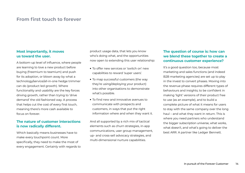### **From first touch to forever**

#### **Most importantly, it moves us toward the user.**

A bottom-up level of influence, where people are learning to love a new product before buying (freemium to teamium) and push for its adoption, or blown away by what a technology/service/all-in-one hedge trimmer can do (product led growth). Where functionality and usability are the key forces driving growth, rather than trying to 'drive demand' the old fashioned way. A process that helps cut the cost of every first touch, meaning there's more cash available to focus on forever.

#### **The nature of customer interactions is now radically different.**

Which basically means businesses have to make every touchpoint count. More specifically, they need to make the most of every engagement. Certainly with regards to product usage data, that lets you know who's doing what, and the opportunities now open to extending this user relationship:

- To offer new services or 'switch on' new capabilities to reward 'super users'.
- To map successful customers (the way they're using/deploying your product) into other organisations to demonstrate what's possible.
- To find new and innovative avenues to communicate with prospects and customers, in ways that put the right information where and when they want it.

And all supported by a rich mix of tactical elements such as churn strategies, in-app communications, user group management, up- and cross-sell advocacy strategies, and multi-dimensional nurture capabilities.

#### **The question of course is: how can we blend these together to create a continuous customer experience?**

It's a good question too, because most marketing and sales functions (and indeed B2B marketing agencies) are set up to play in the invest to convert phases. Moving into the revenue phase requires different types of behaviours and insights; to be confident in making 'light' versions of their product free to use (as an example), and to build a complete picture of what it means for users to stay with the same company over the long haul – and what they want in return. This is where you need partners who understand the bigger subscription universe, what works, what doesn't, and what's going to deliver the best ARR. A partner like Ledger Bennett.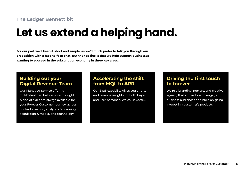# **The Ledger Bennett bit**

# **Let us extend a helping hand.**

**For our part we'll keep it short and simple, as we'd much prefer to talk you through our proposition with a face-to-face chat. But the top line is that we help support businesses wanting to succeed in the subscription economy in three key areas:**

### **Building out your Digital Revenue Team**

Our Managed Service offering FuildTalent can help ensure the right blend of skills are always available for your Forever Customer journey, across content creation, analytics & planning, acquisition & media, and technology.

# **Accelerating the shift from MQL to ARR**

Our SaaS capability gives you end-toend revenue insights for both buyer and user personas. We call it Cortex.

# **Driving the first touch to forever**

We're a branding, nurture, and creative agency that knows how to engage business audiences and build on-going interest in a customer's products.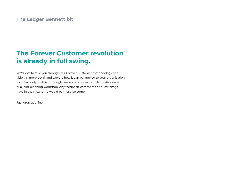### **The Ledger Bennett bit**

# **The Forever Customer revolution is already in full swing.**

We'd love to take you through our Forever Customer methodology and vision in more detail and explore how it can be applied to your organisation. If you're ready to dive in though, we would suggest a collaborative session or a joint planning workshop. Any feedback, comments or questions you have in the meantime would be most welcome.

Just drop us a line.